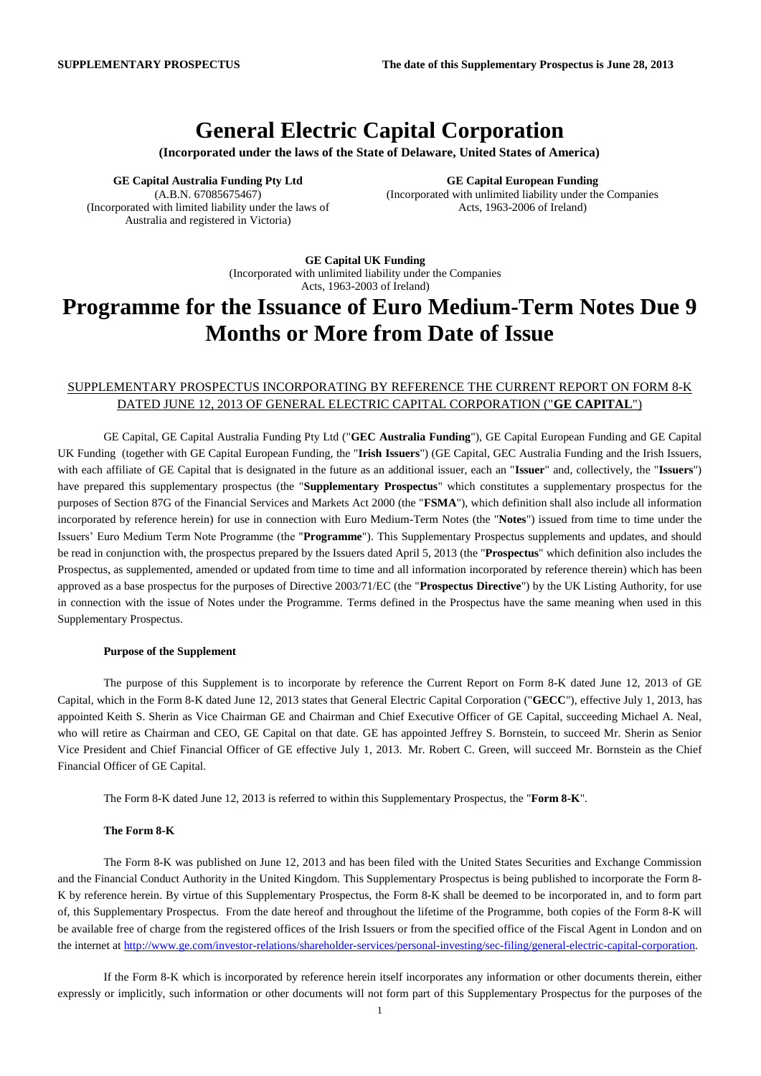# **General Electric Capital Corporation**

**(Incorporated under the laws of the State of Delaware, United States of America)**

**GE Capital Australia Funding Pty Ltd** (A.B.N. 67085675467) (Incorporated with limited liability under the laws of Australia and registered in Victoria)

**GE Capital European Funding** (Incorporated with unlimited liability under the Companies Acts, 1963-2006 of Ireland)

**GE Capital UK Funding** (Incorporated with unlimited liability under the Companies Acts, 1963-2003 of Ireland)

# **Programme for the Issuance of Euro Medium-Term Notes Due 9 Months or More from Date of Issue**

## SUPPLEMENTARY PROSPECTUS INCORPORATING BY REFERENCE THE CURRENT REPORT ON FORM 8-K DATED JUNE 12, 2013 OF GENERAL ELECTRIC CAPITAL CORPORATION ("**GE CAPITAL**")

GE Capital, GE Capital Australia Funding Pty Ltd ("**GEC Australia Funding**"), GE Capital European Funding and GE Capital UK Funding (together with GE Capital European Funding, the "**Irish Issuers**") (GE Capital, GEC Australia Funding and the Irish Issuers, with each affiliate of GE Capital that is designated in the future as an additional issuer, each an "**Issuer**" and, collectively, the "**Issuers**") have prepared this supplementary prospectus (the "**Supplementary Prospectus**" which constitutes a supplementary prospectus for the purposes of Section 87G of the Financial Services and Markets Act 2000 (the "**FSMA**"), which definition shall also include all information incorporated by reference herein) for use in connection with Euro Medium-Term Notes (the "**Notes**") issued from time to time under the Issuers' Euro Medium Term Note Programme (the "**Programme**"). This Supplementary Prospectus supplements and updates, and should be read in conjunction with, the prospectus prepared by the Issuers dated April 5, 2013 (the "**Prospectus**" which definition also includes the Prospectus, as supplemented, amended or updated from time to time and all information incorporated by reference therein) which has been approved as a base prospectus for the purposes of Directive 2003/71/EC (the "**Prospectus Directive**") by the UK Listing Authority, for use in connection with the issue of Notes under the Programme. Terms defined in the Prospectus have the same meaning when used in this Supplementary Prospectus.

#### **Purpose of the Supplement**

The purpose of this Supplement is to incorporate by reference the Current Report on Form 8-K dated June 12, 2013 of GE Capital, which in the Form 8-K dated June 12, 2013 states that General Electric Capital Corporation ("**GECC**"), effective July 1, 2013, has appointed Keith S. Sherin as Vice Chairman GE and Chairman and Chief Executive Officer of GE Capital, succeeding Michael A. Neal, who will retire as Chairman and CEO, GE Capital on that date. GE has appointed Jeffrey S. Bornstein, to succeed Mr. Sherin as Senior Vice President and Chief Financial Officer of GE effective July 1, 2013. Mr. Robert C. Green, will succeed Mr. Bornstein as the Chief Financial Officer of GE Capital.

The Form 8-K dated June 12, 2013 is referred to within this Supplementary Prospectus, the "**Form 8-K**".

### **The Form 8-K**

The Form 8-K was published on June 12, 2013 and has been filed with the United States Securities and Exchange Commission and the Financial Conduct Authority in the United Kingdom. This Supplementary Prospectus is being published to incorporate the Form 8- K by reference herein. By virtue of this Supplementary Prospectus, the Form 8-K shall be deemed to be incorporated in, and to form part of, this Supplementary Prospectus. From the date hereof and throughout the lifetime of the Programme, both copies of the Form 8-K will be available free of charge from the registered offices of the Irish Issuers or from the specified office of the Fiscal Agent in London and on the internet at [http://www.ge.com/investor-relations/shareholder-services/personal-investing/sec-filing/general-electric-capital-corporation.](http://www.ge.com/investor-relations/shareholder-services/personal-investing/sec-filing/general-electric-capital-corporation)

If the Form 8-K which is incorporated by reference herein itself incorporates any information or other documents therein, either expressly or implicitly, such information or other documents will not form part of this Supplementary Prospectus for the purposes of the